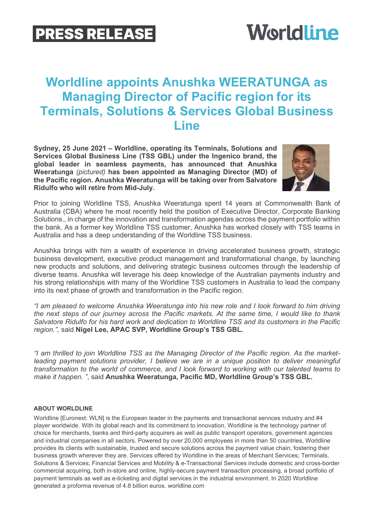## **PRESS RELEASE**

# **Worldline**

### **Worldline appoints Anushka WEERATUNGA as Managing Director of Pacific region for its Terminals, Solutions & Services Global Business Line**

**Sydney, 25 June 2021 – Worldline, operating its Terminals, Solutions and Services Global Business Line (TSS GBL) under the Ingenico brand, the global leader in seamless payments, has announced that Anushka Weeratunga** *(pictured)* **has been appointed as Managing Director (MD) of the Pacific region. Anushka Weeratunga will be taking over from Salvatore Ridulfo who will retire from Mid-July.**



Prior to joining Worldline TSS, Anushka Weeratunga spent 14 years at Commonwealth Bank of Australia (CBA) where he most recently held the position of Executive Director, Corporate Banking Solutions., in charge of the innovation and transformation agendas across the payment portfolio within the bank. As a former key Worldline TSS customer, Anushka has worked closely with TSS teams in Australia and has a deep understanding of the Worldline TSS business.

Anushka brings with him a wealth of experience in driving accelerated business growth, strategic business development, executive product management and transformational change, by launching new products and solutions, and delivering strategic business outcomes through the leadership of diverse teams. Anushka will leverage his deep knowledge of the Australian payments industry and his strong relationships with many of the Worldline TSS customers in Australia to lead the company into its next phase of growth and transformation in the Pacific region.

*"I am pleased to welcome Anushka Weeratunga into his new role and I look forward to him driving the next steps of our journey across the Pacific markets. At the same time, I would like to thank Salvatore Ridulfo for his hard work and dedication to Worldline TSS and its customers in the Pacific region.",* said **Nigel Lee, APAC SVP, Worldline Group's TSS GBL.**

*"I am thrilled to join Worldline TSS as the Managing Director of the Pacific region. As the marketleading payment solutions provider, I believe we are in a unique position to deliver meaningful transformation to the world of commerce, and I look forward to working with our talented teams to make it happen. "*, said **Anushka Weeratunga, Pacific MD, Worldline Group's TSS GBL.** 

#### **ABOUT WORLDLINE**

Worldline [Euronext: WLN] is the European leader in the payments and transactional services industry and #4 player worldwide. With its global reach and its commitment to innovation, Worldline is the technology partner of choice for merchants, banks and third-party acquirers as well as public transport operators, government agencies and industrial companies in all sectors. Powered by over 20,000 employees in more than 50 countries, Worldline provides its clients with sustainable, trusted and secure solutions across the payment value chain, fostering their business growth wherever they are. Services offered by Worldline in the areas of Merchant Services; Terminals, Solutions & Services; Financial Services and Mobility & e-Transactional Services include domestic and cross-border commercial acquiring, both in-store and online, highly-secure payment transaction processing, a broad portfolio of payment terminals as well as e-ticketing and digital services in the industrial environment. In 2020 Worldline generated a proforma revenue of 4.8 billion euros. worldline.com